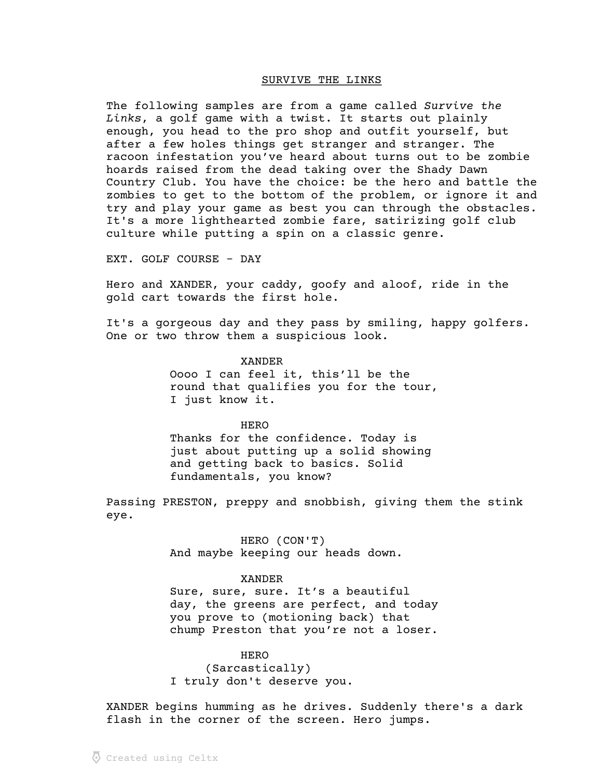# SURVIVE THE LINKS

The following samples are from a game called Survive the Links, a golf game with a twist. It starts out plainly enough, you head to the pro shop and outfit yourself, but after a few holes things get stranger and stranger. The racoon infestation you've heard about turns out to be zombie hoards raised from the dead taking over the Shady Dawn Country Club. You have the choice: be the hero and battle the zombies to get to the bottom of the problem, or ignore it and try and play your game as best you can through the obstacles. It's a more lighthearted zombie fare, satirizing golf club culture while putting a spin on a classic genre.

EXT. GOLF COURSE - DAY

Hero and XANDER, your caddy, goofy and aloof, ride in the gold cart towards the first hole.

It's a gorgeous day and they pass by smiling, happy golfers. One or two throw them a suspicious look.

> XANDER Oooo I can feel it, this'll be the round that qualifies you for the tour, I just know it.

HERO Thanks for the confidence. Today is just about putting up a solid showing and getting back to basics. Solid fundamentals, you know?

Passing PRESTON, preppy and snobbish, giving them the stink eye.

> HERO (CON'T) And maybe keeping our heads down.

# XANDER

Sure, sure, sure. It's a beautiful day, the greens are perfect, and today you prove to (motioning back) that chump Preston that you're not a loser.

# **HERO**

(Sarcastically) I truly don't deserve you.

XANDER begins humming as he drives. Suddenly there's a dark flash in the corner of the screen. Hero jumps.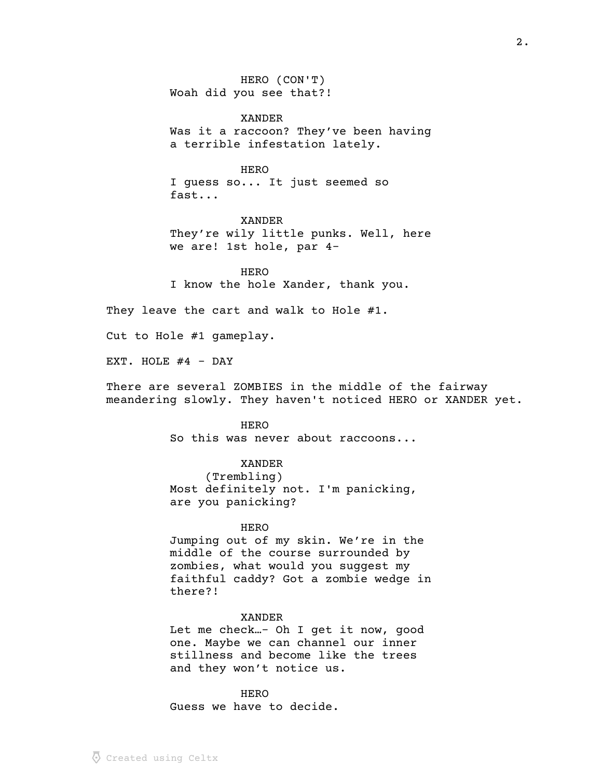HERO (CON'T) Woah did you see that?!

XANDER Was it a raccoon? They've been having a terrible infestation lately.

# HERO

I guess so... It just seemed so fast...

XANDER They're wily little punks. Well, here we are! 1st hole, par 4-

**HERO** I know the hole Xander, thank you.

They leave the cart and walk to Hole #1.

Cut to Hole #1 gameplay.

EXT. HOLE  $#4$  - DAY

There are several ZOMBIES in the middle of the fairway meandering slowly. They haven't noticed HERO or XANDER yet.

> HERO So this was never about raccoons...

# XANDER

(Trembling) Most definitely not. I'm panicking, are you panicking?

# **HERO**

Jumping out of my skin. We're in the middle of the course surrounded by zombies, what would you suggest my faithful caddy? Got a zombie wedge in there?!

# XANDER

Let me check…- Oh I get it now, good one. Maybe we can channel our inner stillness and become like the trees and they won't notice us.

**HERO** Guess we have to decide.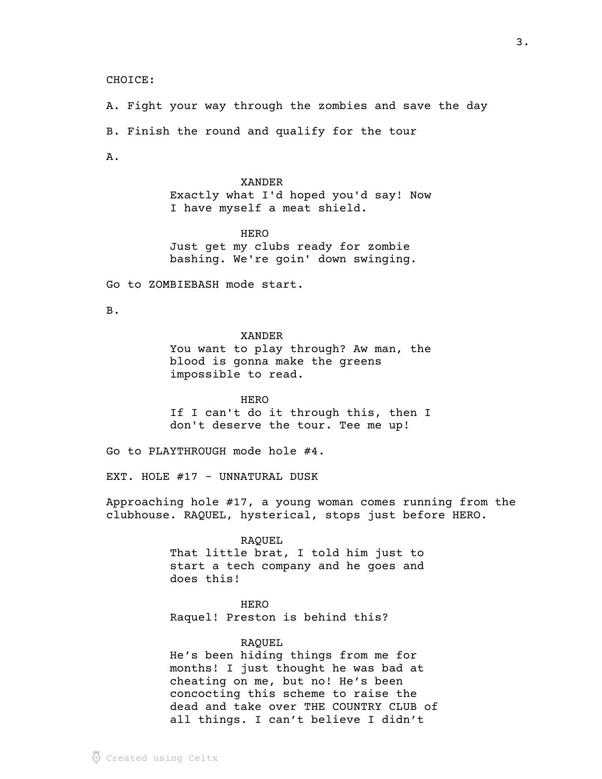# CHOICE:

A. Fight your way through the zombies and save the day B. Finish the round and qualify for the tour A.

> XANDER Exactly what I'd hoped you'd say! Now I have myself a meat shield.

**HERO** Just get my clubs ready for zombie bashing. We're goin' down swinging.

Go to ZOMBIEBASH mode start.

B.

# XANDER

You want to play through? Aw man, the blood is gonna make the greens impossible to read.

**HERO** If I can't do it through this, then I don't deserve the tour. Tee me up!

Go to PLAYTHROUGH mode hole #4.

EXT. HOLE #17 - UNNATURAL DUSK

Approaching hole #17, a young woman comes running from the clubhouse. RAQUEL, hysterical, stops just before HERO.

> RAQUEL That little brat, I told him just to start a tech company and he goes and does this!

HERO Raquel! Preston is behind this?

RAQUEL

He's been hiding things from me for months! I just thought he was bad at cheating on me, but no! He's been concocting this scheme to raise the dead and take over THE COUNTRY CLUB of all things. I can't believe I didn't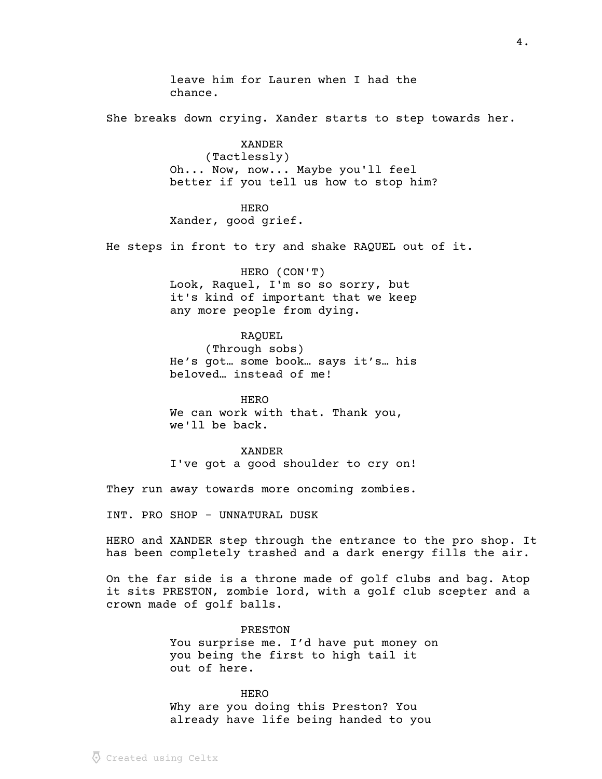leave him for Lauren when I had the chance. She breaks down crying. Xander starts to step towards her. XANDER (Tactlessly) Oh... Now, now... Maybe you'll feel better if you tell us how to stop him? HERO Xander, good grief. He steps in front to try and shake RAQUEL out of it. HERO (CON'T) Look, Raquel, I'm so so sorry, but it's kind of important that we keep any more people from dying. RAQUEL (Through sobs) He's got… some book… says it's… his beloved… instead of me! **HERO** We can work with that. Thank you, we'll be back. XANDER I've got a good shoulder to cry on! They run away towards more oncoming zombies. INT. PRO SHOP - UNNATURAL DUSK HERO and XANDER step through the entrance to the pro shop. It has been completely trashed and a dark energy fills the air. On the far side is a throne made of golf clubs and bag. Atop it sits PRESTON, zombie lord, with a golf club scepter and a crown made of golf balls.

> PRESTON You surprise me. I'd have put money on you being the first to high tail it out of here.

**HERO** Why are you doing this Preston? You already have life being handed to you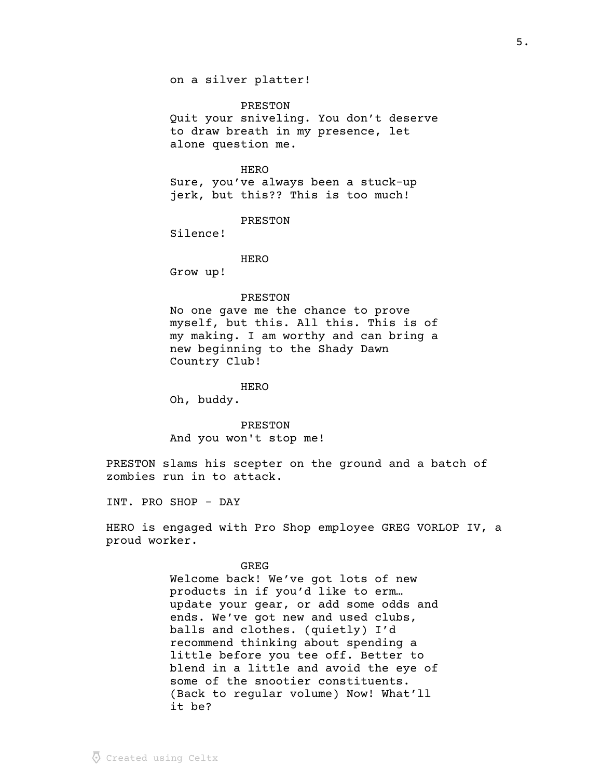## PRESTON

Quit your sniveling. You don't deserve to draw breath in my presence, let alone question me.

# HERO

Sure, you've always been a stuck-up jerk, but this?? This is too much!

## PRESTON

Silence!

# HERO

Grow up!

# PRESTON

No one gave me the chance to prove myself, but this. All this. This is of my making. I am worthy and can bring a new beginning to the Shady Dawn Country Club!

#### **HERO**

Oh, buddy.

# PRESTON

And you won't stop me!

PRESTON slams his scepter on the ground and a batch of zombies run in to attack.

INT. PRO SHOP - DAY

HERO is engaged with Pro Shop employee GREG VORLOP IV, a proud worker.

#### GREG

Welcome back! We've got lots of new products in if you'd like to erm… update your gear, or add some odds and ends. We've got new and used clubs, balls and clothes. (quietly) I'd recommend thinking about spending a little before you tee off. Better to blend in a little and avoid the eye of some of the snootier constituents. (Back to regular volume) Now! What'll it be?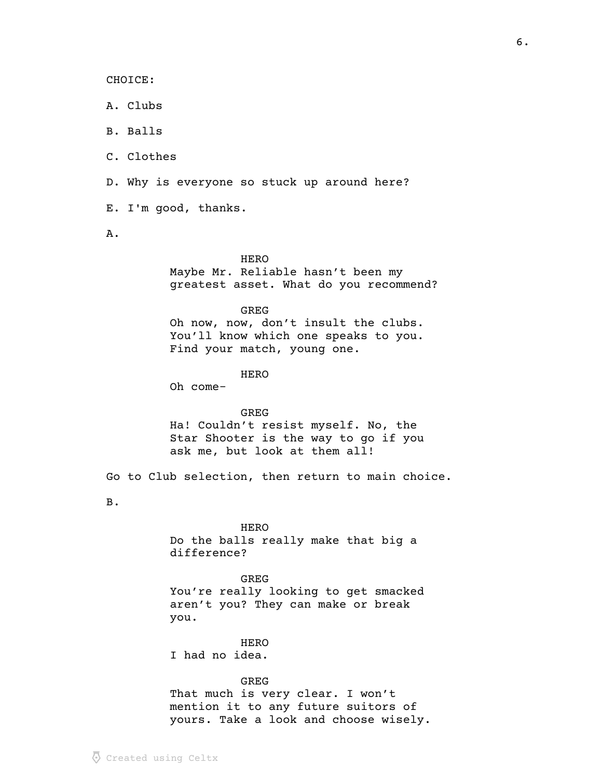CHOICE:

A. Clubs

B. Balls

C. Clothes

D. Why is everyone so stuck up around here?

E. I'm good, thanks.

A.

# HERO

Maybe Mr. Reliable hasn't been my greatest asset. What do you recommend?

GREG

Oh now, now, don't insult the clubs. You'll know which one speaks to you. Find your match, young one.

HERO

Oh come-

GREG Ha! Couldn't resist myself. No, the Star Shooter is the way to go if you ask me, but look at them all!

Go to Club selection, then return to main choice.

B.

**HERO** Do the balls really make that big a difference?

GREG You're really looking to get smacked aren't you? They can make or break you.

**HERO** I had no idea.

# GREG

That much is very clear. I won't mention it to any future suitors of yours. Take a look and choose wisely.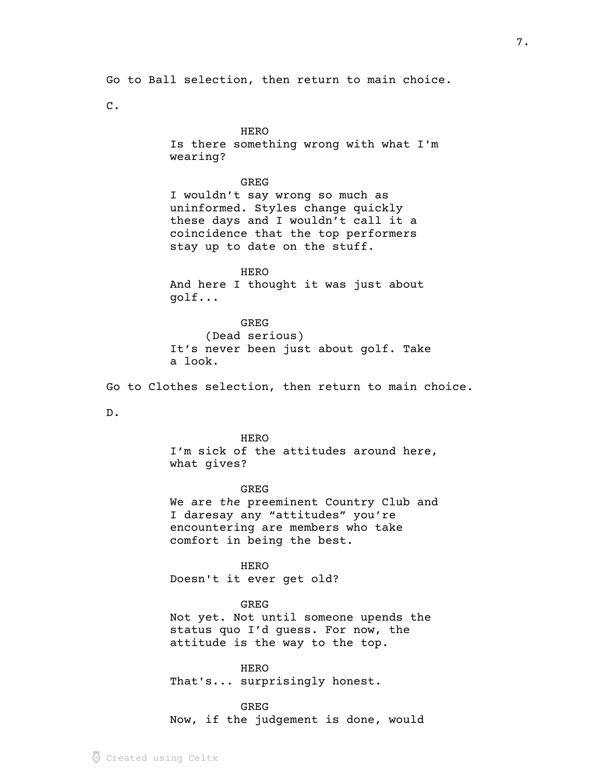Go to Ball selection, then return to main choice.

C.

# HERO

Is there something wrong with what I'm wearing?

# GREG

I wouldn't say wrong so much as uninformed. Styles change quickly these days and I wouldn't call it a coincidence that the top performers stay up to date on the stuff.

HERO And here I thought it was just about golf...

GREG (Dead serious) It's never been just about golf. Take a look.

Go to Clothes selection, then return to main choice.

D.

## HERO

I'm sick of the attitudes around here, what gives?

GREG

We are the preeminent Country Club and I daresay any "attitudes" you're encountering are members who take comfort in being the best.

HERO Doesn't it ever get old?

# GREG

Not yet. Not until someone upends the status quo I'd guess. For now, the attitude is the way to the top.

HERO That's... surprisingly honest.

GREG Now, if the judgement is done, would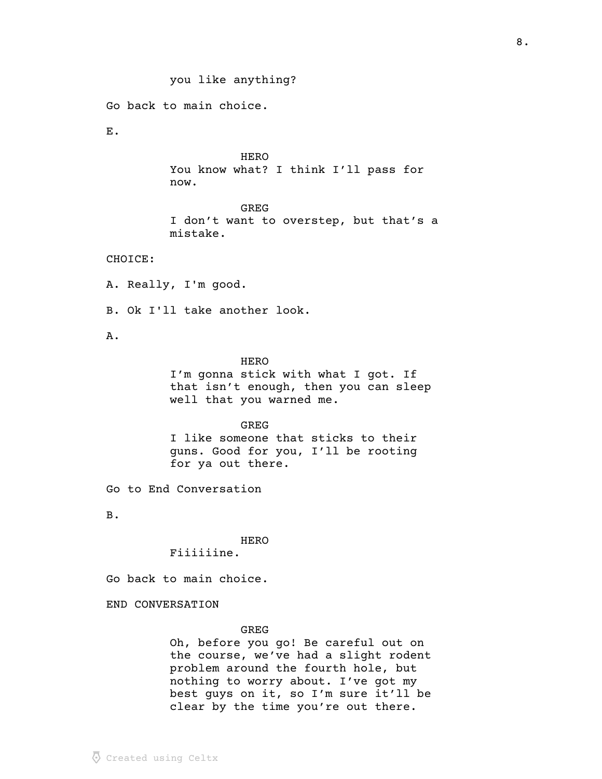you like anything? Go back to main choice. E. **HERO** You know what? I think I'll pass for now. GREG I don't want to overstep, but that's a mistake. CHOICE: A. Really, I'm good. B. Ok I'll take another look. A. HERO I'm gonna stick with what I got. If that isn't enough, then you can sleep well that you warned me. GREG I like someone that sticks to their guns. Good for you, I'll be rooting for ya out there. Go to End Conversation

B.

**HERO** Fiiiiiine.

Go back to main choice.

END CONVERSATION

# GREG

Oh, before you go! Be careful out on the course, we've had a slight rodent problem around the fourth hole, but nothing to worry about. I've got my best guys on it, so I'm sure it'll be clear by the time you're out there.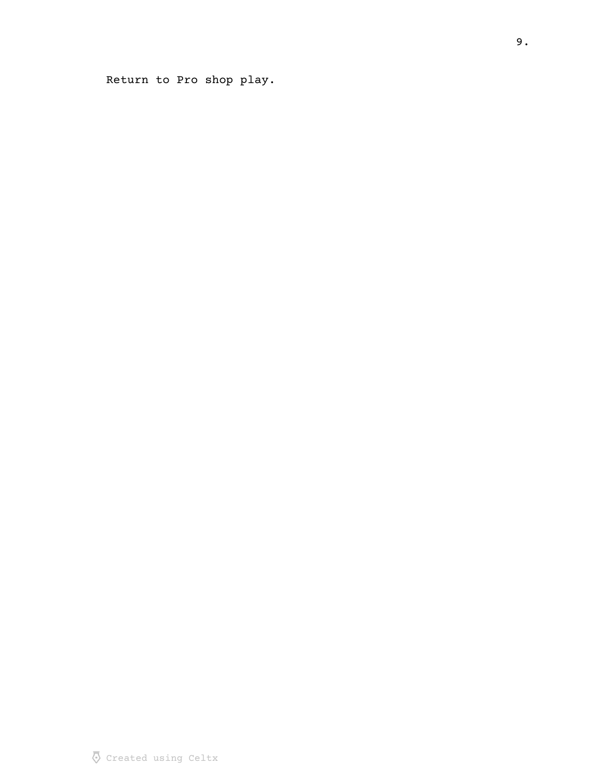Return to Pro shop play.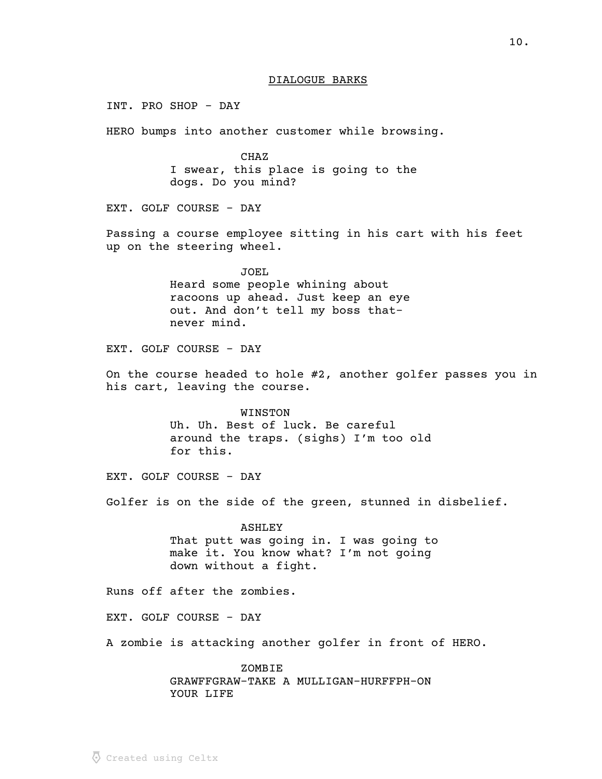INT. PRO SHOP - DAY HERO bumps into another customer while browsing. CHAZ I swear, this place is going to the dogs. Do you mind? EXT. GOLF COURSE - DAY Passing a course employee sitting in his cart with his feet up on the steering wheel. JOEL Heard some people whining about racoons up ahead. Just keep an eye out. And don't tell my boss thatnever mind. EXT. GOLF COURSE - DAY On the course headed to hole #2, another golfer passes you in his cart, leaving the course. WINSTON Uh. Uh. Best of luck. Be careful around the traps. (sighs) I'm too old for this. EXT. GOLF COURSE - DAY Golfer is on the side of the green, stunned in disbelief. ASHLEY That putt was going in. I was going to make it. You know what? I'm not going down without a fight. Runs off after the zombies. EXT. GOLF COURSE - DAY A zombie is attacking another golfer in front of HERO. ZOMBIE GRAWFFGRAW-TAKE A MULLIGAN-HURFFPH-ON

YOUR LIFE